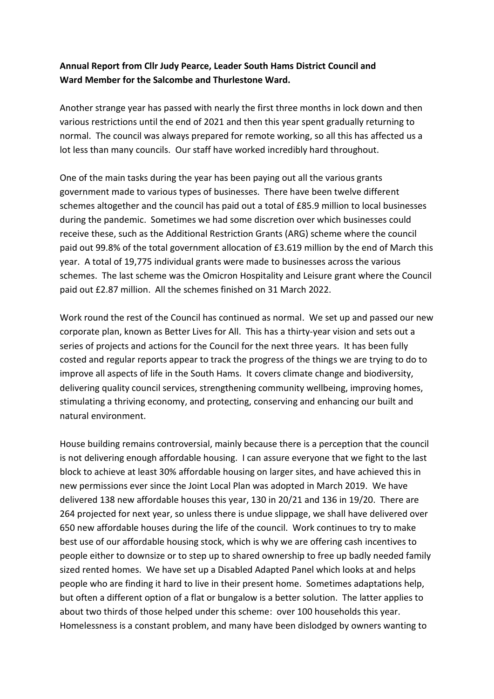## **Annual Report from Cllr Judy Pearce, Leader South Hams District Council and Ward Member for the Salcombe and Thurlestone Ward.**

Another strange year has passed with nearly the first three months in lock down and then various restrictions until the end of 2021 and then this year spent gradually returning to normal. The council was always prepared for remote working, so all this has affected us a lot less than many councils. Our staff have worked incredibly hard throughout.

One of the main tasks during the year has been paying out all the various grants government made to various types of businesses. There have been twelve different schemes altogether and the council has paid out a total of £85.9 million to local businesses during the pandemic. Sometimes we had some discretion over which businesses could receive these, such as the Additional Restriction Grants (ARG) scheme where the council paid out 99.8% of the total government allocation of £3.619 million by the end of March this year. A total of 19,775 individual grants were made to businesses across the various schemes. The last scheme was the Omicron Hospitality and Leisure grant where the Council paid out £2.87 million. All the schemes finished on 31 March 2022.

Work round the rest of the Council has continued as normal. We set up and passed our new corporate plan, known as Better Lives for All. This has a thirty-year vision and sets out a series of projects and actions for the Council for the next three years. It has been fully costed and regular reports appear to track the progress of the things we are trying to do to improve all aspects of life in the South Hams. It covers climate change and biodiversity, delivering quality council services, strengthening community wellbeing, improving homes, stimulating a thriving economy, and protecting, conserving and enhancing our built and natural environment.

House building remains controversial, mainly because there is a perception that the council is not delivering enough affordable housing. I can assure everyone that we fight to the last block to achieve at least 30% affordable housing on larger sites, and have achieved this in new permissions ever since the Joint Local Plan was adopted in March 2019. We have delivered 138 new affordable houses this year, 130 in 20/21 and 136 in 19/20. There are 264 projected for next year, so unless there is undue slippage, we shall have delivered over 650 new affordable houses during the life of the council. Work continues to try to make best use of our affordable housing stock, which is why we are offering cash incentives to people either to downsize or to step up to shared ownership to free up badly needed family sized rented homes. We have set up a Disabled Adapted Panel which looks at and helps people who are finding it hard to live in their present home. Sometimes adaptations help, but often a different option of a flat or bungalow is a better solution. The latter applies to about two thirds of those helped under this scheme: over 100 households this year. Homelessness is a constant problem, and many have been dislodged by owners wanting to